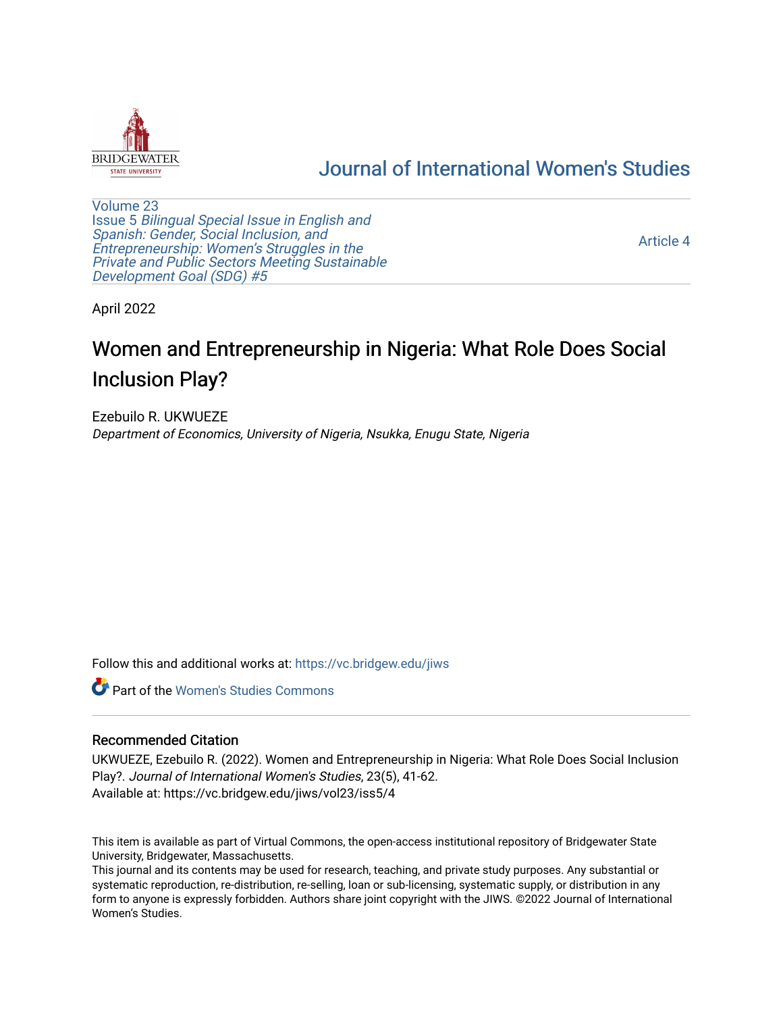

# [Journal of International Women's Studies](https://vc.bridgew.edu/jiws)

[Volume 23](https://vc.bridgew.edu/jiws/vol23) Issue 5 [Bilingual Special Issue in English and](https://vc.bridgew.edu/jiws/vol23/iss5)  [Spanish: Gender, Social Inclusion, and](https://vc.bridgew.edu/jiws/vol23/iss5)  [Entrepreneurship: Women's Struggles in the](https://vc.bridgew.edu/jiws/vol23/iss5)  [Private and Public Sectors Meeting Sustainable](https://vc.bridgew.edu/jiws/vol23/iss5) [Development Goal \(SDG\) #5](https://vc.bridgew.edu/jiws/vol23/iss5) 

[Article 4](https://vc.bridgew.edu/jiws/vol23/iss5/4) 

April 2022

# Women and Entrepreneurship in Nigeria: What Role Does Social Inclusion Play?

Ezebuilo R. UKWUEZE Department of Economics, University of Nigeria, Nsukka, Enugu State, Nigeria

Follow this and additional works at: [https://vc.bridgew.edu/jiws](https://vc.bridgew.edu/jiws?utm_source=vc.bridgew.edu%2Fjiws%2Fvol23%2Fiss5%2F4&utm_medium=PDF&utm_campaign=PDFCoverPages)

**C** Part of the Women's Studies Commons

#### Recommended Citation

UKWUEZE, Ezebuilo R. (2022). Women and Entrepreneurship in Nigeria: What Role Does Social Inclusion Play?. Journal of International Women's Studies, 23(5), 41-62. Available at: https://vc.bridgew.edu/jiws/vol23/iss5/4

This item is available as part of Virtual Commons, the open-access institutional repository of Bridgewater State University, Bridgewater, Massachusetts.

This journal and its contents may be used for research, teaching, and private study purposes. Any substantial or systematic reproduction, re-distribution, re-selling, loan or sub-licensing, systematic supply, or distribution in any form to anyone is expressly forbidden. Authors share joint copyright with the JIWS. ©2022 Journal of International Women's Studies.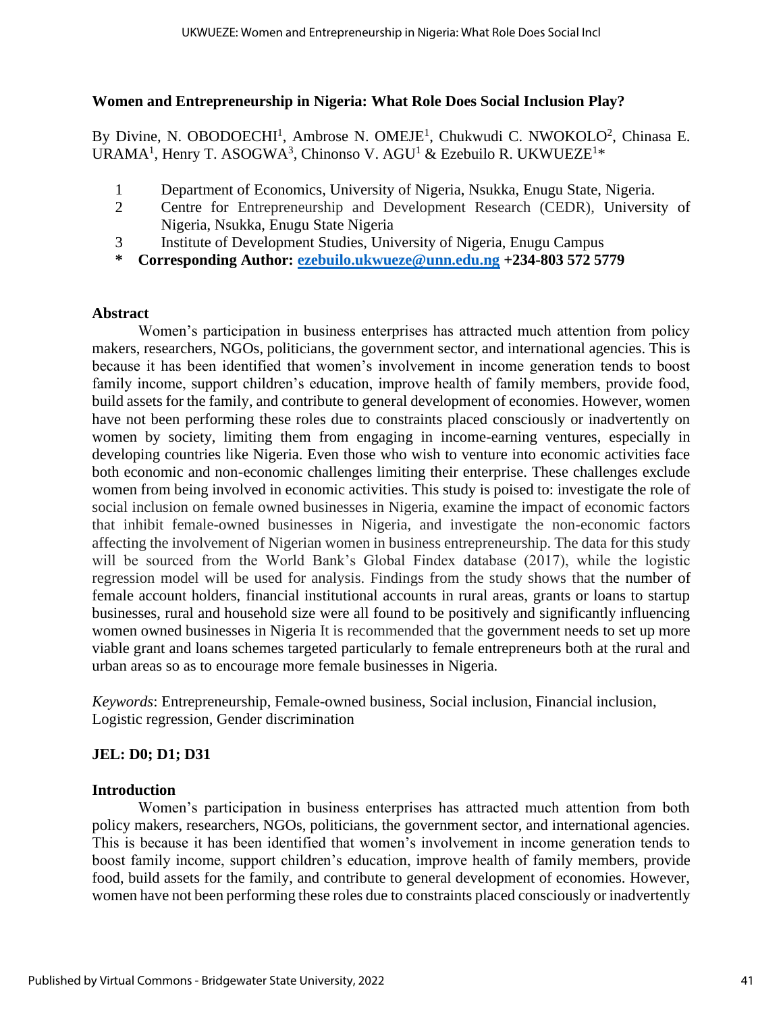### **Women and Entrepreneurship in Nigeria: What Role Does Social Inclusion Play?**

By Divine, N. OBODOECHI<sup>1</sup>, Ambrose N. OMEJE<sup>1</sup>, Chukwudi C. NWOKOLO<sup>2</sup>, Chinasa E. URAMA<sup>1</sup>, Henry T. ASOGWA<sup>3</sup>, Chinonso V. AGU<sup>1</sup> & Ezebuilo R. UKWUEZE<sup>1\*</sup>

- 1 Department of Economics, University of Nigeria, Nsukka, Enugu State, Nigeria.
- 2 Centre for Entrepreneurship and Development Research (CEDR), University of Nigeria, Nsukka, Enugu State Nigeria
- 3 Institute of Development Studies, University of Nigeria, Enugu Campus
- **\* Corresponding Author: [ezebuilo.ukwueze@unn.edu.ng](mailto:ezebuilo.ukwueze@unn.edu.ng) +234-803 572 5779**

### **Abstract**

Women's participation in business enterprises has attracted much attention from policy makers, researchers, NGOs, politicians, the government sector, and international agencies. This is because it has been identified that women's involvement in income generation tends to boost family income, support children's education, improve health of family members, provide food, build assets for the family, and contribute to general development of economies. However, women have not been performing these roles due to constraints placed consciously or inadvertently on women by society, limiting them from engaging in income-earning ventures, especially in developing countries like Nigeria. Even those who wish to venture into economic activities face both economic and non-economic challenges limiting their enterprise. These challenges exclude women from being involved in economic activities. This study is poised to: investigate the role of social inclusion on female owned businesses in Nigeria, examine the impact of economic factors that inhibit female-owned businesses in Nigeria, and investigate the non-economic factors affecting the involvement of Nigerian women in business entrepreneurship. The data for this study will be sourced from the World Bank's Global Findex database (2017), while the logistic regression model will be used for analysis. Findings from the study shows that the number of female account holders, financial institutional accounts in rural areas, grants or loans to startup businesses, rural and household size were all found to be positively and significantly influencing women owned businesses in Nigeria It is recommended that the government needs to set up more viable grant and loans schemes targeted particularly to female entrepreneurs both at the rural and urban areas so as to encourage more female businesses in Nigeria.

*Keywords*: Entrepreneurship, Female-owned business, Social inclusion, Financial inclusion, Logistic regression, Gender discrimination

### **JEL: D0; D1; D31**

### **Introduction**

Women's participation in business enterprises has attracted much attention from both policy makers, researchers, NGOs, politicians, the government sector, and international agencies. This is because it has been identified that women's involvement in income generation tends to boost family income, support children's education, improve health of family members, provide food, build assets for the family, and contribute to general development of economies. However, women have not been performing these roles due to constraints placed consciously or inadvertently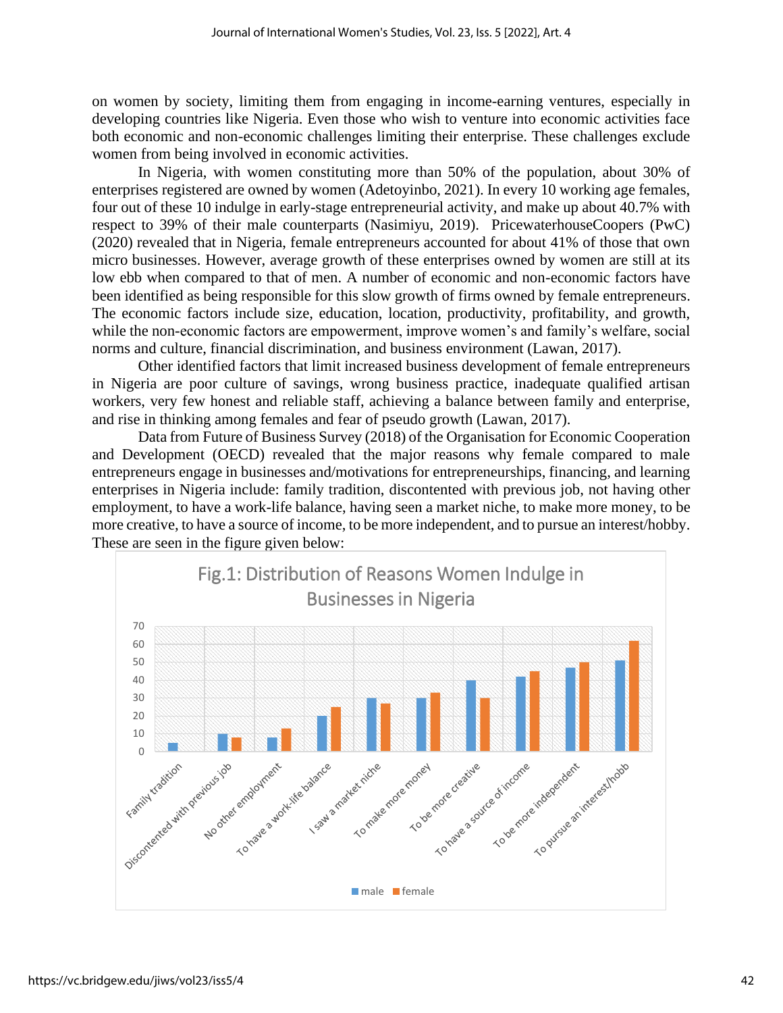on women by society, limiting them from engaging in income-earning ventures, especially in developing countries like Nigeria. Even those who wish to venture into economic activities face both economic and non-economic challenges limiting their enterprise. These challenges exclude women from being involved in economic activities.

In Nigeria, with women constituting more than 50% of the population, about 30% of enterprises registered are owned by women (Adetoyinbo, 2021). In every 10 working age females, four out of these 10 indulge in early-stage entrepreneurial activity, and make up about 40.7% with respect to 39% of their male counterparts (Nasimiyu, 2019). PricewaterhouseCoopers (PwC) (2020) revealed that in Nigeria, female entrepreneurs accounted for about 41% of those that own micro businesses. However, average growth of these enterprises owned by women are still at its low ebb when compared to that of men. A number of economic and non-economic factors have been identified as being responsible for this slow growth of firms owned by female entrepreneurs. The economic factors include size, education, location, productivity, profitability, and growth, while the non-economic factors are empowerment, improve women's and family's welfare, social norms and culture, financial discrimination, and business environment (Lawan, 2017).

Other identified factors that limit increased business development of female entrepreneurs in Nigeria are poor culture of savings, wrong business practice, inadequate qualified artisan workers, very few honest and reliable staff, achieving a balance between family and enterprise, and rise in thinking among females and fear of pseudo growth (Lawan, 2017).

Data from Future of Business Survey (2018) of the Organisation for Economic Cooperation and Development (OECD) revealed that the major reasons why female compared to male entrepreneurs engage in businesses and/motivations for entrepreneurships, financing, and learning enterprises in Nigeria include: family tradition, discontented with previous job, not having other employment, to have a work-life balance, having seen a market niche, to make more money, to be more creative, to have a source of income, to be more independent, and to pursue an interest/hobby. These are seen in the figure given below:

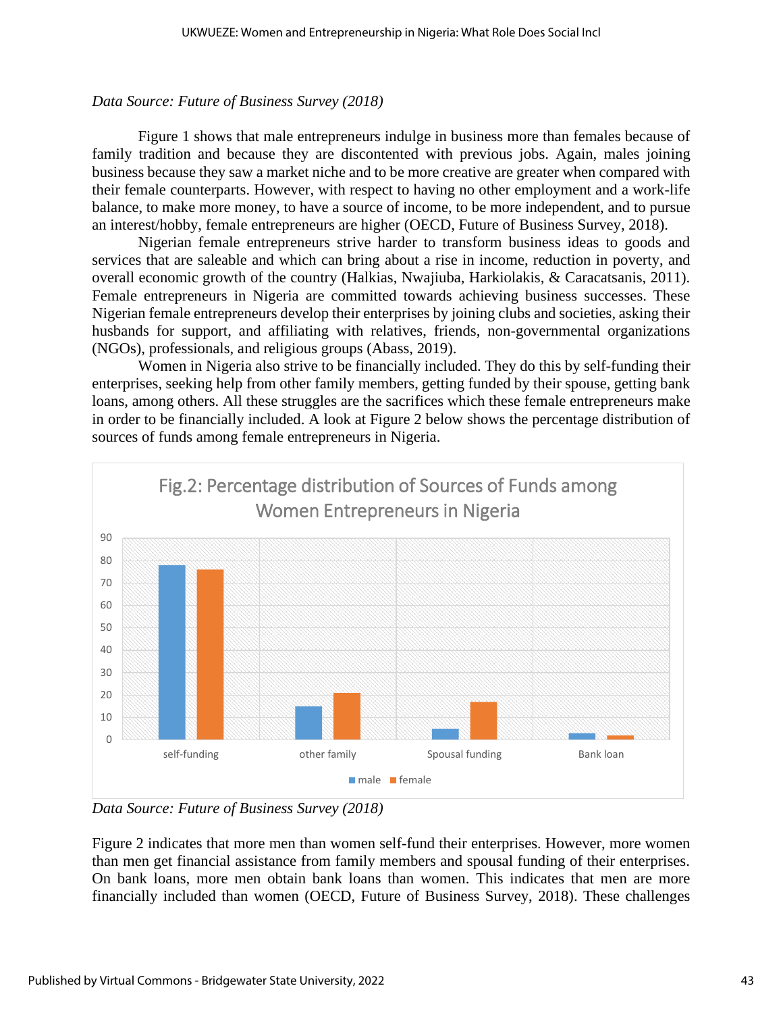### *Data Source: Future of Business Survey (2018)*

Figure 1 shows that male entrepreneurs indulge in business more than females because of family tradition and because they are discontented with previous jobs. Again, males joining business because they saw a market niche and to be more creative are greater when compared with their female counterparts. However, with respect to having no other employment and a work-life balance, to make more money, to have a source of income, to be more independent, and to pursue an interest/hobby, female entrepreneurs are higher (OECD, Future of Business Survey, 2018).

Nigerian female entrepreneurs strive harder to transform business ideas to goods and services that are saleable and which can bring about a rise in income, reduction in poverty, and overall economic growth of the country (Halkias, Nwajiuba, Harkiolakis, & Caracatsanis, 2011). Female entrepreneurs in Nigeria are committed towards achieving business successes. These Nigerian female entrepreneurs develop their enterprises by joining clubs and societies, asking their husbands for support, and affiliating with relatives, friends, non-governmental organizations (NGOs), professionals, and religious groups (Abass, 2019).

Women in Nigeria also strive to be financially included. They do this by self-funding their enterprises, seeking help from other family members, getting funded by their spouse, getting bank loans, among others. All these struggles are the sacrifices which these female entrepreneurs make in order to be financially included. A look at Figure 2 below shows the percentage distribution of sources of funds among female entrepreneurs in Nigeria.



*Data Source: Future of Business Survey (2018)*

Figure 2 indicates that more men than women self-fund their enterprises. However, more women than men get financial assistance from family members and spousal funding of their enterprises. On bank loans, more men obtain bank loans than women. This indicates that men are more financially included than women (OECD, Future of Business Survey, 2018). These challenges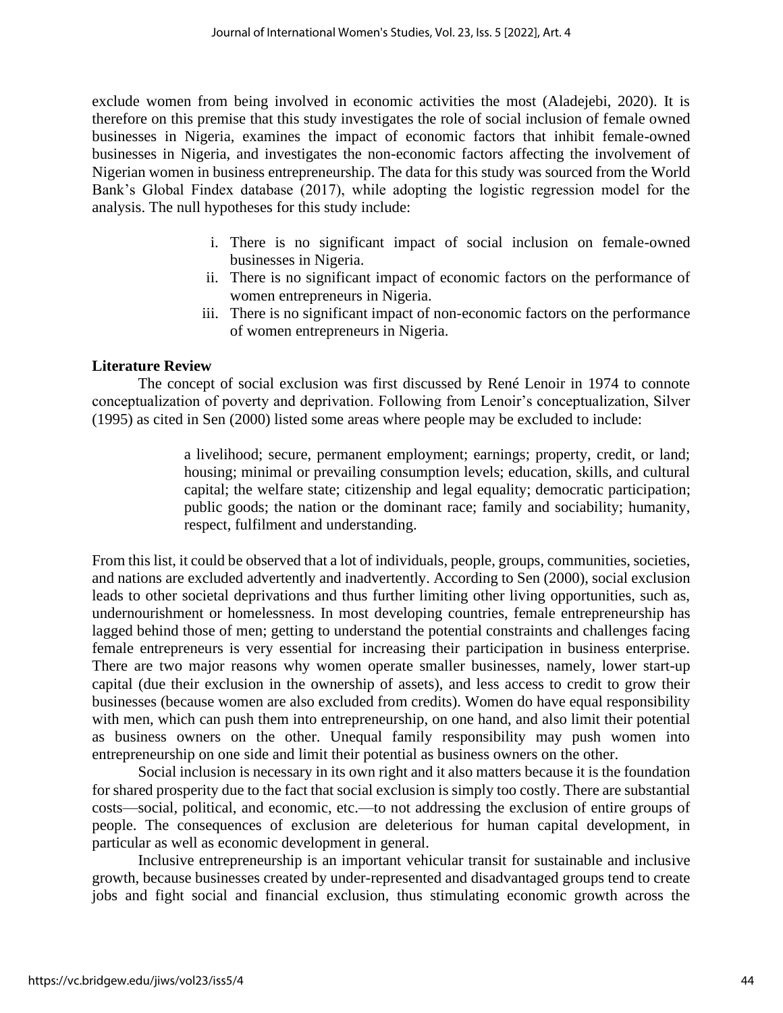exclude women from being involved in economic activities the most (Aladejebi, 2020). It is therefore on this premise that this study investigates the role of social inclusion of female owned businesses in Nigeria, examines the impact of economic factors that inhibit female-owned businesses in Nigeria, and investigates the non-economic factors affecting the involvement of Nigerian women in business entrepreneurship. The data for this study was sourced from the World Bank's Global Findex database (2017), while adopting the logistic regression model for the analysis. The null hypotheses for this study include:

- i. There is no significant impact of social inclusion on female-owned businesses in Nigeria.
- ii. There is no significant impact of economic factors on the performance of women entrepreneurs in Nigeria.
- iii. There is no significant impact of non-economic factors on the performance of women entrepreneurs in Nigeria.

### **Literature Review**

The concept of social exclusion was first discussed by René Lenoir in 1974 to connote conceptualization of poverty and deprivation. Following from Lenoir's conceptualization, Silver (1995) as cited in Sen (2000) listed some areas where people may be excluded to include:

> a livelihood; secure, permanent employment; earnings; property, credit, or land; housing; minimal or prevailing consumption levels; education, skills, and cultural capital; the welfare state; citizenship and legal equality; democratic participation; public goods; the nation or the dominant race; family and sociability; humanity, respect, fulfilment and understanding.

From this list, it could be observed that a lot of individuals, people, groups, communities, societies, and nations are excluded advertently and inadvertently. According to Sen (2000), social exclusion leads to other societal deprivations and thus further limiting other living opportunities, such as, undernourishment or homelessness. In most developing countries, female entrepreneurship has lagged behind those of men; getting to understand the potential constraints and challenges facing female entrepreneurs is very essential for increasing their participation in business enterprise. There are two major reasons why women operate smaller businesses, namely, lower start-up capital (due their exclusion in the ownership of assets), and less access to credit to grow their businesses (because women are also excluded from credits). Women do have equal responsibility with men, which can push them into entrepreneurship, on one hand, and also limit their potential as business owners on the other. Unequal family responsibility may push women into entrepreneurship on one side and limit their potential as business owners on the other.

Social inclusion is necessary in its own right and it also matters because it is the foundation for shared prosperity due to the fact that social exclusion is simply too costly. There are substantial costs—social, political, and economic, etc.—to not addressing the exclusion of entire groups of people. The consequences of exclusion are deleterious for human capital development, in particular as well as economic development in general.

Inclusive entrepreneurship is an important vehicular transit for sustainable and inclusive growth, because businesses created by under-represented and disadvantaged groups tend to create jobs and fight social and financial exclusion, thus stimulating economic growth across the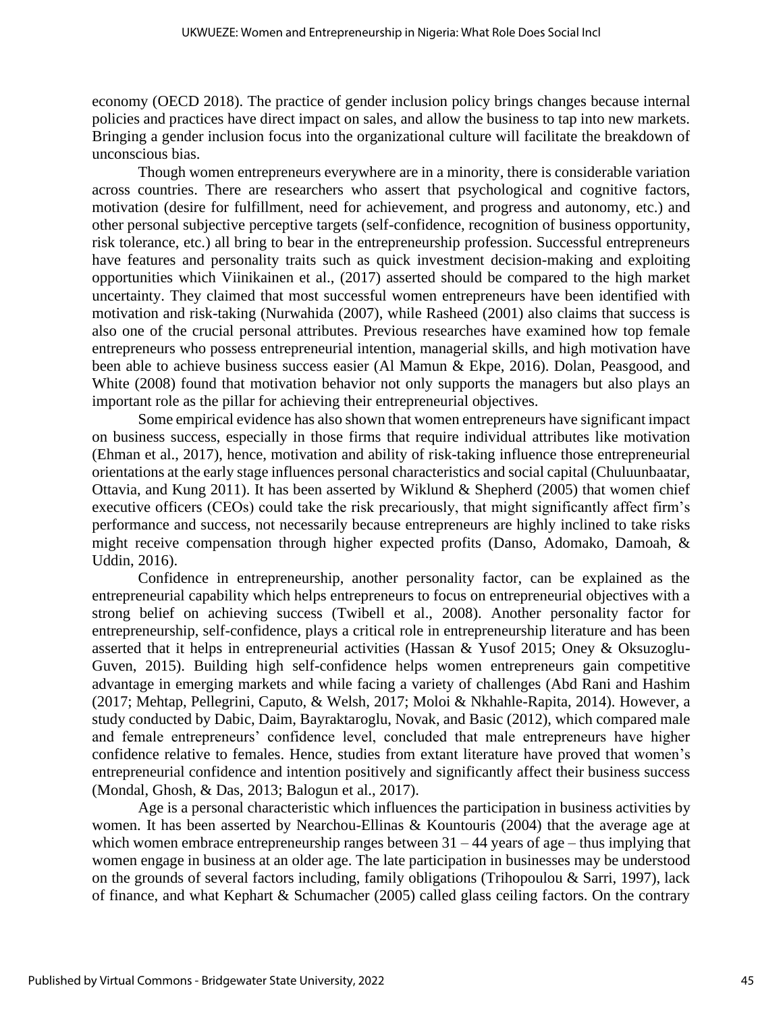economy (OECD 2018). The practice of gender inclusion policy brings changes because internal policies and practices have direct impact on sales, and allow the business to tap into new markets. Bringing a gender inclusion focus into the organizational culture will facilitate the breakdown of unconscious bias.

Though women entrepreneurs everywhere are in a minority, there is considerable variation across countries. There are researchers who assert that psychological and cognitive factors, motivation (desire for fulfillment, need for achievement, and progress and autonomy, etc.) and other personal subjective perceptive targets (self-confidence, recognition of business opportunity, risk tolerance, etc.) all bring to bear in the entrepreneurship profession. Successful entrepreneurs have features and personality traits such as quick investment decision-making and exploiting opportunities which Viinikainen et al., (2017) asserted should be compared to the high market uncertainty. They claimed that most successful women entrepreneurs have been identified with motivation and risk-taking (Nurwahida (2007), while Rasheed (2001) also claims that success is also one of the crucial personal attributes. Previous researches have examined how top female entrepreneurs who possess entrepreneurial intention, managerial skills, and high motivation have been able to achieve business success easier (Al Mamun & Ekpe, 2016). Dolan, Peasgood, and White (2008) found that motivation behavior not only supports the managers but also plays an important role as the pillar for achieving their entrepreneurial objectives.

Some empirical evidence has also shown that women entrepreneurs have significant impact on business success, especially in those firms that require individual attributes like motivation (Ehman et al., 2017), hence, motivation and ability of risk-taking influence those entrepreneurial orientations at the early stage influences personal characteristics and social capital (Chuluunbaatar, Ottavia, and Kung 2011). It has been asserted by Wiklund & Shepherd (2005) that women chief executive officers (CEOs) could take the risk precariously, that might significantly affect firm's performance and success, not necessarily because entrepreneurs are highly inclined to take risks might receive compensation through higher expected profits (Danso, Adomako, Damoah, & Uddin, 2016).

Confidence in entrepreneurship, another personality factor, can be explained as the entrepreneurial capability which helps entrepreneurs to focus on entrepreneurial objectives with a strong belief on achieving success (Twibell et al., 2008). Another personality factor for entrepreneurship, self-confidence, plays a critical role in entrepreneurship literature and has been asserted that it helps in entrepreneurial activities (Hassan & Yusof 2015; Oney & Oksuzoglu-Guven, 2015). Building high self-confidence helps women entrepreneurs gain competitive advantage in emerging markets and while facing a variety of challenges (Abd Rani and Hashim (2017; Mehtap, Pellegrini, Caputo, & Welsh, 2017; Moloi & Nkhahle-Rapita, 2014). However, a study conducted by Dabic, Daim, Bayraktaroglu, Novak, and Basic (2012), which compared male and female entrepreneurs' confidence level, concluded that male entrepreneurs have higher confidence relative to females. Hence, studies from extant literature have proved that women's entrepreneurial confidence and intention positively and significantly affect their business success (Mondal, Ghosh, & Das, 2013; Balogun et al., 2017).

Age is a personal characteristic which influences the participation in business activities by women. It has been asserted by Nearchou-Ellinas & Kountouris (2004) that the average age at which women embrace entrepreneurship ranges between  $31 - 44$  years of age – thus implying that women engage in business at an older age. The late participation in businesses may be understood on the grounds of several factors including, family obligations (Trihopoulou & Sarri, 1997), lack of finance, and what Kephart & Schumacher (2005) called glass ceiling factors. On the contrary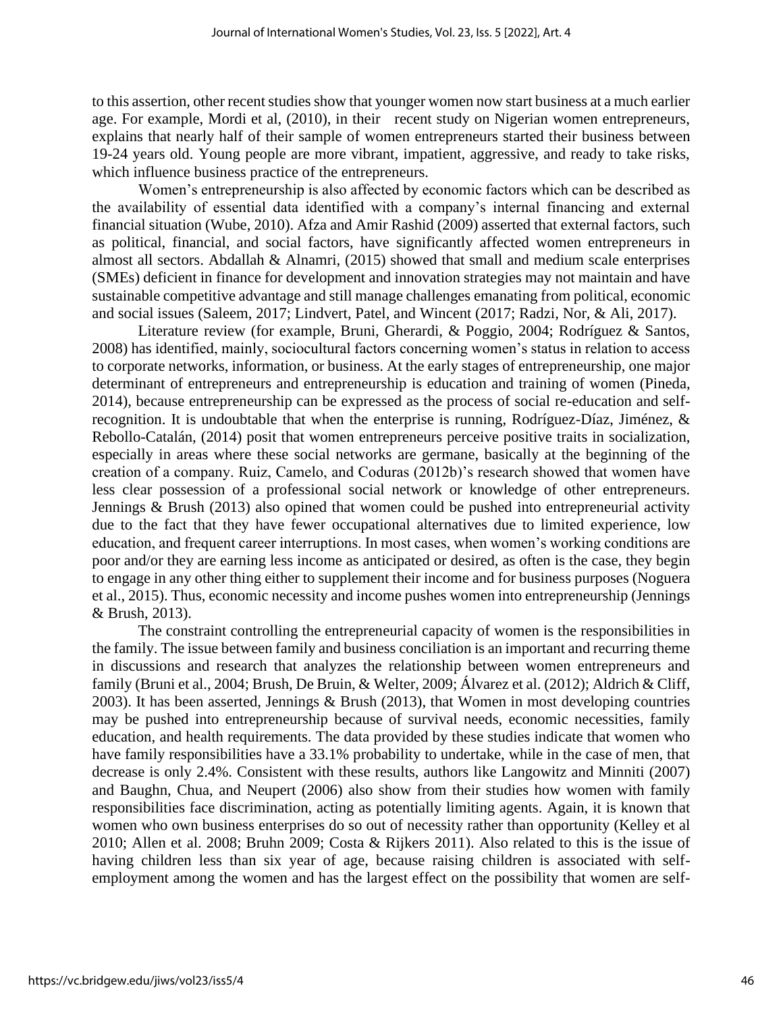to this assertion, other recent studies show that younger women now start business at a much earlier age. For example, Mordi et al, (2010), in their recent study on Nigerian women entrepreneurs, explains that nearly half of their sample of women entrepreneurs started their business between 19-24 years old. Young people are more vibrant, impatient, aggressive, and ready to take risks, which influence business practice of the entrepreneurs.

Women's entrepreneurship is also affected by economic factors which can be described as the availability of essential data identified with a company's internal financing and external financial situation (Wube, 2010). Afza and Amir Rashid (2009) asserted that external factors, such as political, financial, and social factors, have significantly affected women entrepreneurs in almost all sectors. Abdallah & Alnamri, (2015) showed that small and medium scale enterprises (SMEs) deficient in finance for development and innovation strategies may not maintain and have sustainable competitive advantage and still manage challenges emanating from political, economic and social issues (Saleem, 2017; Lindvert, Patel, and Wincent (2017; Radzi, Nor, & Ali, 2017).

Literature review (for example, Bruni, Gherardi, & Poggio, 2004; Rodríguez & Santos, 2008) has identified, mainly, sociocultural factors concerning women's status in relation to access to corporate networks, information, or business. At the early stages of entrepreneurship, one major determinant of entrepreneurs and entrepreneurship is education and training of women (Pineda, 2014), because entrepreneurship can be expressed as the process of social re-education and selfrecognition. It is undoubtable that when the enterprise is running, Rodríguez-Díaz, Jiménez, & Rebollo-Catalán, (2014) posit that women entrepreneurs perceive positive traits in socialization, especially in areas where these social networks are germane, basically at the beginning of the creation of a company. Ruiz, Camelo, and Coduras (2012b)'s research showed that women have less clear possession of a professional social network or knowledge of other entrepreneurs. Jennings & Brush (2013) also opined that women could be pushed into entrepreneurial activity due to the fact that they have fewer occupational alternatives due to limited experience, low education, and frequent career interruptions. In most cases, when women's working conditions are poor and/or they are earning less income as anticipated or desired, as often is the case, they begin to engage in any other thing either to supplement their income and for business purposes (Noguera et al., 2015). Thus, economic necessity and income pushes women into entrepreneurship (Jennings & Brush, 2013).

The constraint controlling the entrepreneurial capacity of women is the responsibilities in the family. The issue between family and business conciliation is an important and recurring theme in discussions and research that analyzes the relationship between women entrepreneurs and family (Bruni et al., 2004; Brush, De Bruin, & Welter, 2009; Álvarez et al. (2012); Aldrich & Cliff, 2003). It has been asserted, Jennings & Brush (2013), that Women in most developing countries may be pushed into entrepreneurship because of survival needs, economic necessities, family education, and health requirements. The data provided by these studies indicate that women who have family responsibilities have a 33.1% probability to undertake, while in the case of men, that decrease is only 2.4%. Consistent with these results, authors like Langowitz and Minniti (2007) and Baughn, Chua, and Neupert (2006) also show from their studies how women with family responsibilities face discrimination, acting as potentially limiting agents. Again, it is known that women who own business enterprises do so out of necessity rather than opportunity (Kelley et al 2010; Allen et al. 2008; Bruhn 2009; Costa & Rijkers 2011). Also related to this is the issue of having children less than six year of age, because raising children is associated with selfemployment among the women and has the largest effect on the possibility that women are self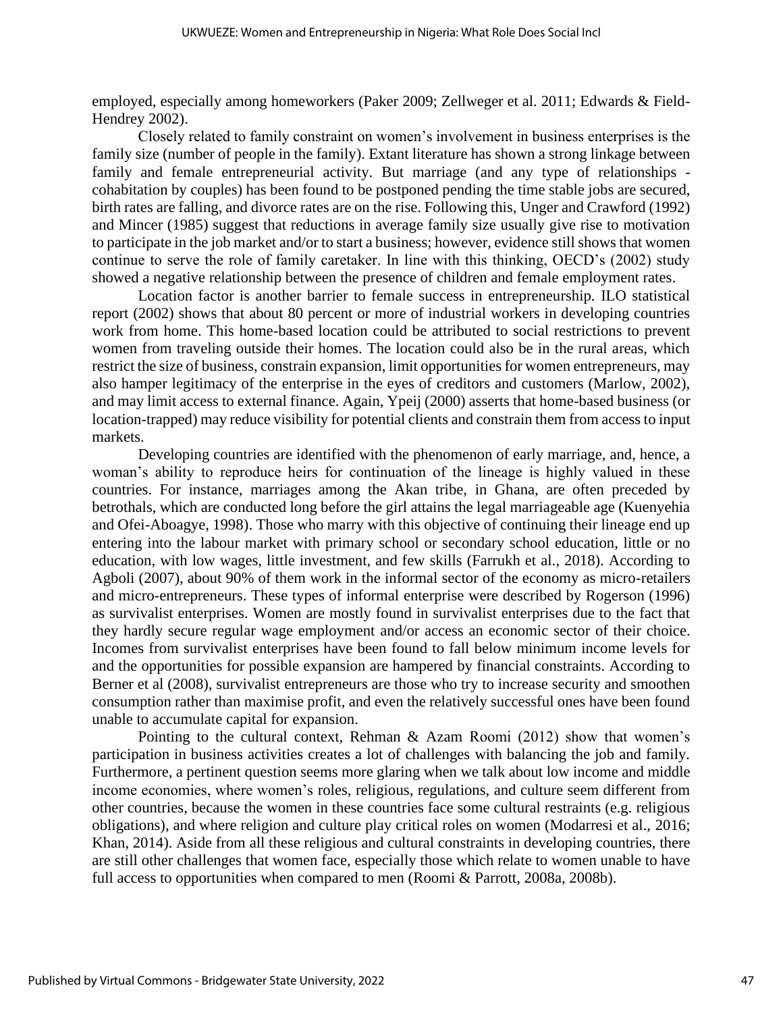employed, especially among homeworkers (Paker 2009; Zellweger et al. 2011; Edwards & Field-Hendrey 2002).

Closely related to family constraint on women's involvement in business enterprises is the family size (number of people in the family). Extant literature has shown a strong linkage between family and female entrepreneurial activity. But marriage (and any type of relationships cohabitation by couples) has been found to be postponed pending the time stable jobs are secured, birth rates are falling, and divorce rates are on the rise. Following this, Unger and Crawford (1992) and Mincer (1985) suggest that reductions in average family size usually give rise to motivation to participate in the job market and/or to start a business; however, evidence still shows that women continue to serve the role of family caretaker. In line with this thinking, OECD's (2002) study showed a negative relationship between the presence of children and female employment rates.

Location factor is another barrier to female success in entrepreneurship. ILO statistical report (2002) shows that about 80 percent or more of industrial workers in developing countries work from home. This home-based location could be attributed to social restrictions to prevent women from traveling outside their homes. The location could also be in the rural areas, which restrict the size of business, constrain expansion, limit opportunities for women entrepreneurs, may also hamper legitimacy of the enterprise in the eyes of creditors and customers (Marlow, 2002), and may limit access to external finance. Again, Ypeij (2000) asserts that home-based business (or location-trapped) may reduce visibility for potential clients and constrain them from access to input markets.

Developing countries are identified with the phenomenon of early marriage, and, hence, a woman's ability to reproduce heirs for continuation of the lineage is highly valued in these countries. For instance, marriages among the Akan tribe, in Ghana, are often preceded by betrothals, which are conducted long before the girl attains the legal marriageable age (Kuenyehia and Ofei-Aboagye, 1998). Those who marry with this objective of continuing their lineage end up entering into the labour market with primary school or secondary school education, little or no education, with low wages, little investment, and few skills (Farrukh et al., 2018). According to Agboli (2007), about 90% of them work in the informal sector of the economy as micro-retailers and micro-entrepreneurs. These types of informal enterprise were described by Rogerson (1996) as survivalist enterprises. Women are mostly found in survivalist enterprises due to the fact that they hardly secure regular wage employment and/or access an economic sector of their choice. Incomes from survivalist enterprises have been found to fall below minimum income levels for and the opportunities for possible expansion are hampered by financial constraints. According to Berner et al (2008), survivalist entrepreneurs are those who try to increase security and smoothen consumption rather than maximise profit, and even the relatively successful ones have been found unable to accumulate capital for expansion.

Pointing to the cultural context, Rehman & Azam Roomi (2012) show that women's participation in business activities creates a lot of challenges with balancing the job and family. Furthermore, a pertinent question seems more glaring when we talk about low income and middle income economies, where women's roles, religious, regulations, and culture seem different from other countries, because the women in these countries face some cultural restraints (e.g. religious obligations), and where religion and culture play critical roles on women (Modarresi et al., 2016; Khan, 2014). Aside from all these religious and cultural constraints in developing countries, there are still other challenges that women face, especially those which relate to women unable to have full access to opportunities when compared to men (Roomi & Parrott, 2008a, 2008b).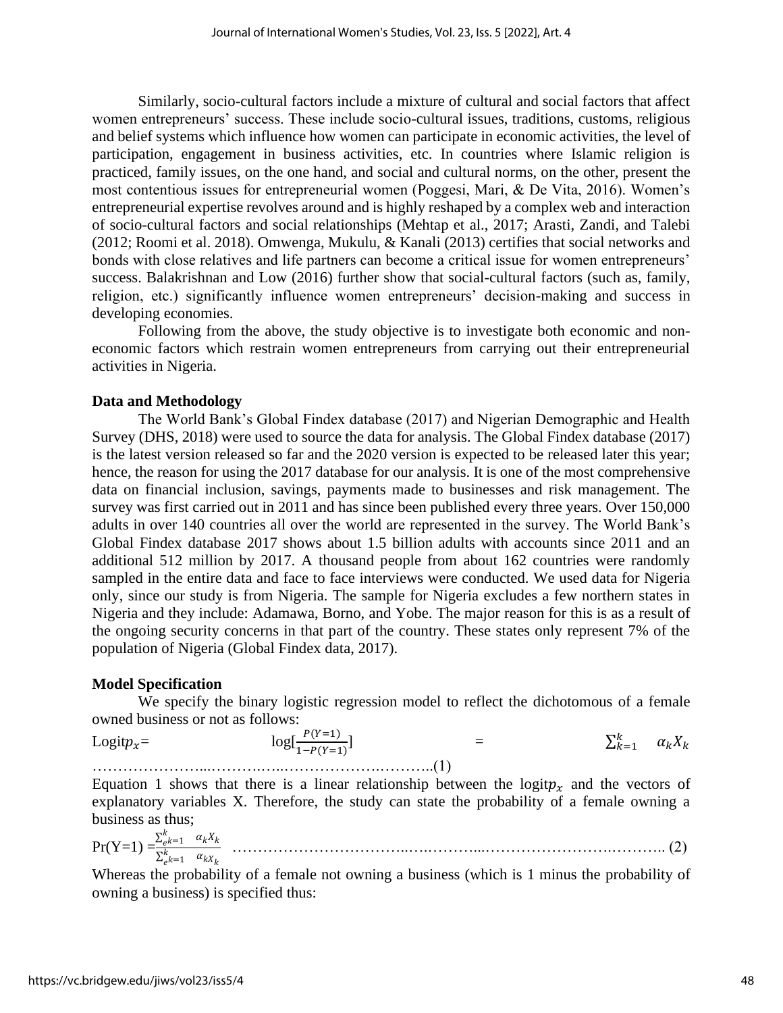Similarly, socio-cultural factors include a mixture of cultural and social factors that affect women entrepreneurs' success. These include socio-cultural issues, traditions, customs, religious and belief systems which influence how women can participate in economic activities, the level of participation, engagement in business activities, etc. In countries where Islamic religion is practiced, family issues, on the one hand, and social and cultural norms, on the other, present the most contentious issues for entrepreneurial women (Poggesi, Mari, & De Vita, 2016). Women's entrepreneurial expertise revolves around and is highly reshaped by a complex web and interaction of socio-cultural factors and social relationships (Mehtap et al., 2017; Arasti, Zandi, and Talebi (2012; Roomi et al. 2018). Omwenga, Mukulu, & Kanali (2013) certifies that social networks and bonds with close relatives and life partners can become a critical issue for women entrepreneurs' success. Balakrishnan and Low (2016) further show that social-cultural factors (such as, family, religion, etc.) significantly influence women entrepreneurs' decision-making and success in developing economies.

Following from the above, the study objective is to investigate both economic and noneconomic factors which restrain women entrepreneurs from carrying out their entrepreneurial activities in Nigeria.

#### **Data and Methodology**

The World Bank's Global Findex database (2017) and Nigerian Demographic and Health Survey (DHS, 2018) were used to source the data for analysis. The Global Findex database (2017) is the latest version released so far and the 2020 version is expected to be released later this year; hence, the reason for using the 2017 database for our analysis. It is one of the most comprehensive data on financial inclusion, savings, payments made to businesses and risk management. The survey was first carried out in 2011 and has since been published every three years. Over 150,000 adults in over 140 countries all over the world are represented in the survey. The World Bank's Global Findex database 2017 shows about 1.5 billion adults with accounts since 2011 and an additional 512 million by 2017. A thousand people from about 162 countries were randomly sampled in the entire data and face to face interviews were conducted. We used data for Nigeria only, since our study is from Nigeria. The sample for Nigeria excludes a few northern states in Nigeria and they include: Adamawa, Borno, and Yobe. The major reason for this is as a result of the ongoing security concerns in that part of the country. These states only represent 7% of the population of Nigeria (Global Findex data, 2017).

### **Model Specification**

We specify the binary logistic regression model to reflect the dichotomous of a female owned business or not as follows:

Logit $p_x = \log[\frac{P(Y=1)}{1-P(Y=1)}]$ ]  $=$   $\sum$  $x_{k=1}^k \quad \alpha_k X_k$ …………………...……….…..……………….………..(1)

Equation 1 shows that there is a linear relationship between the logit $p_x$  and the vectors of explanatory variables X. Therefore, the study can state the probability of a female owning a business as thus;

 $Pr(Y=1) = \frac{\sum_{e}^{k}}{\sum_{e}^{k}}$  $\frac{k}{e^{k}}=1$   $\alpha_k X_k$  $\Sigma^k$  $\frac{\kappa}{e}k=1$   $\alpha_{kX_k}$ ……………………………..….………...…………………….……….. (2)

Whereas the probability of a female not owning a business (which is 1 minus the probability of owning a business) is specified thus: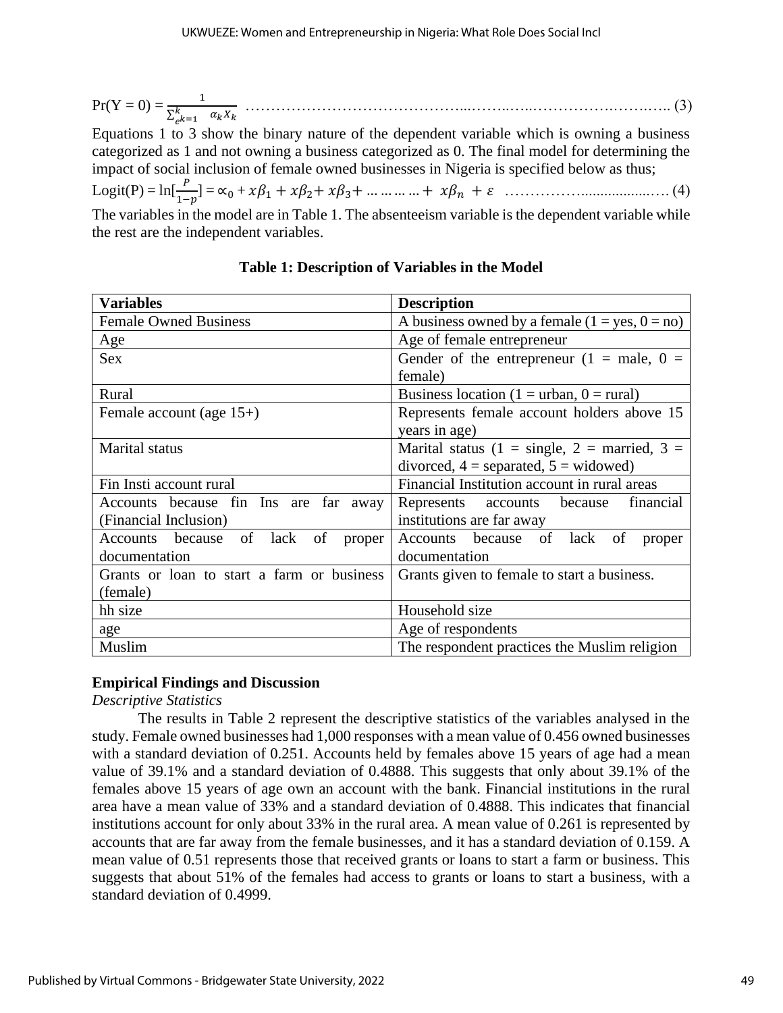Pr(Y = 0) = <sup>1</sup> ∑ =1 ……………………………………...……..…..…………….…….….. (3)

Equations 1 to 3 show the binary nature of the dependent variable which is owning a business categorized as 1 and not owning a business categorized as 0. The final model for determining the impact of social inclusion of female owned businesses in Nigeria is specified below as thus;

Logit(P) = ln[ 1− ] = ∝<sup>0</sup> + <sup>1</sup> + 2+ 3+ … … … … + + ……………..................…. (4)

The variables in the model are in Table 1. The absenteeism variable is the dependent variable while the rest are the independent variables.

| <b>Variables</b>                           | <b>Description</b>                               |  |  |
|--------------------------------------------|--------------------------------------------------|--|--|
| <b>Female Owned Business</b>               | A business owned by a female $(1 = yes, 0 = no)$ |  |  |
| Age                                        | Age of female entrepreneur                       |  |  |
| <b>Sex</b>                                 | Gender of the entrepreneur $(1 = male, 0 =$      |  |  |
|                                            | female)                                          |  |  |
| Rural                                      | Business location (1 = urban, 0 = rural)         |  |  |
| Female account (age $15+$ )                | Represents female account holders above 15       |  |  |
|                                            | years in age)                                    |  |  |
| Marital status                             | Marital status (1 = single, 2 = married, 3 =     |  |  |
|                                            | divorced, $4 =$ separated, $5 =$ widowed)        |  |  |
| Fin Insti account rural                    | Financial Institution account in rural areas     |  |  |
| Accounts because fin Ins are far away      | financial<br>Represents accounts<br>because      |  |  |
| (Financial Inclusion)                      | institutions are far away                        |  |  |
| Accounts because of lack<br>of<br>proper   | Accounts because of lack<br>of<br>proper         |  |  |
| documentation                              | documentation                                    |  |  |
| Grants or loan to start a farm or business | Grants given to female to start a business.      |  |  |
| (female)                                   |                                                  |  |  |
| hh size                                    | Household size                                   |  |  |
| age                                        | Age of respondents                               |  |  |
| Muslim                                     | The respondent practices the Muslim religion     |  |  |

**Table 1: Description of Variables in the Model**

### **Empirical Findings and Discussion**

*Descriptive Statistics* 

The results in Table 2 represent the descriptive statistics of the variables analysed in the study. Female owned businesses had 1,000 responses with a mean value of 0.456 owned businesses with a standard deviation of 0.251. Accounts held by females above 15 years of age had a mean value of 39.1% and a standard deviation of 0.4888. This suggests that only about 39.1% of the females above 15 years of age own an account with the bank. Financial institutions in the rural area have a mean value of 33% and a standard deviation of 0.4888. This indicates that financial institutions account for only about 33% in the rural area. A mean value of 0.261 is represented by accounts that are far away from the female businesses, and it has a standard deviation of 0.159. A mean value of 0.51 represents those that received grants or loans to start a farm or business. This suggests that about 51% of the females had access to grants or loans to start a business, with a standard deviation of 0.4999.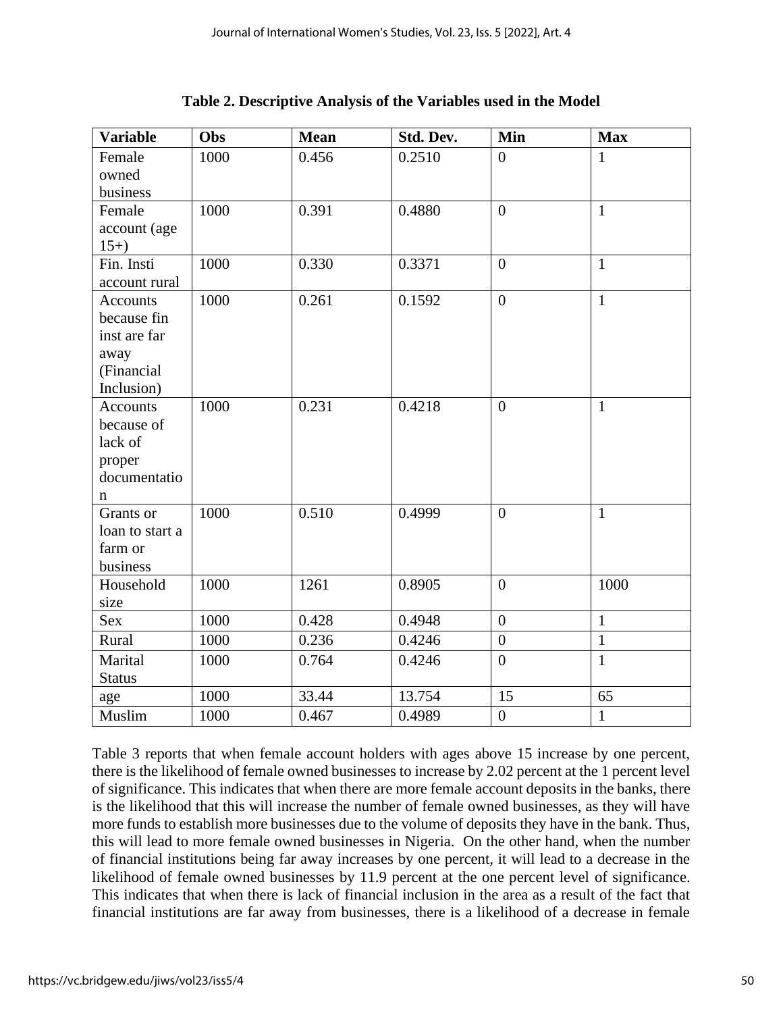| <b>Variable</b> | Obs  | <b>Mean</b> | Std. Dev. | Min            | <b>Max</b>   |
|-----------------|------|-------------|-----------|----------------|--------------|
| Female          | 1000 | 0.456       | 0.2510    | $\overline{0}$ | $\mathbf{1}$ |
| owned           |      |             |           |                |              |
| business        |      |             |           |                |              |
| Female          | 1000 | 0.391       | 0.4880    | $\overline{0}$ | $\mathbf{1}$ |
| account (age    |      |             |           |                |              |
| $15+$           |      |             |           |                |              |
| Fin. Insti      | 1000 | 0.330       | 0.3371    | $\overline{0}$ | $\mathbf{1}$ |
| account rural   |      |             |           |                |              |
| <b>Accounts</b> | 1000 | 0.261       | 0.1592    | $\overline{0}$ | $\mathbf{1}$ |
| because fin     |      |             |           |                |              |
| inst are far    |      |             |           |                |              |
| away            |      |             |           |                |              |
| (Financial      |      |             |           |                |              |
| Inclusion)      |      |             |           |                |              |
| <b>Accounts</b> | 1000 | 0.231       | 0.4218    | $\overline{0}$ | $\mathbf{1}$ |
| because of      |      |             |           |                |              |
| lack of         |      |             |           |                |              |
| proper          |      |             |           |                |              |
| documentatio    |      |             |           |                |              |
| n               |      |             |           |                |              |
| Grants or       | 1000 | 0.510       | 0.4999    | $\overline{0}$ | $\mathbf{1}$ |
| loan to start a |      |             |           |                |              |
| farm or         |      |             |           |                |              |
| business        |      |             |           |                |              |
| Household       | 1000 | 1261        | 0.8905    | $\overline{0}$ | 1000         |
| size            |      |             |           |                |              |
| Sex             | 1000 | 0.428       | 0.4948    | $\overline{0}$ | $\mathbf{1}$ |
| Rural           | 1000 | 0.236       | 0.4246    | $\overline{0}$ | $\mathbf{1}$ |
| Marital         | 1000 | 0.764       | 0.4246    | $\theta$       | $\mathbf{1}$ |
| <b>Status</b>   |      |             |           |                |              |
| age             | 1000 | 33.44       | 13.754    | 15             | 65           |
| Muslim          | 1000 | 0.467       | 0.4989    | $\overline{0}$ | $\mathbf{1}$ |

**Table 2. Descriptive Analysis of the Variables used in the Model**

Table 3 reports that when female account holders with ages above 15 increase by one percent, there is the likelihood of female owned businesses to increase by 2.02 percent at the 1 percent level of significance. This indicates that when there are more female account deposits in the banks, there is the likelihood that this will increase the number of female owned businesses, as they will have more funds to establish more businesses due to the volume of deposits they have in the bank. Thus, this will lead to more female owned businesses in Nigeria. On the other hand, when the number of financial institutions being far away increases by one percent, it will lead to a decrease in the likelihood of female owned businesses by 11.9 percent at the one percent level of significance. This indicates that when there is lack of financial inclusion in the area as a result of the fact that financial institutions are far away from businesses, there is a likelihood of a decrease in female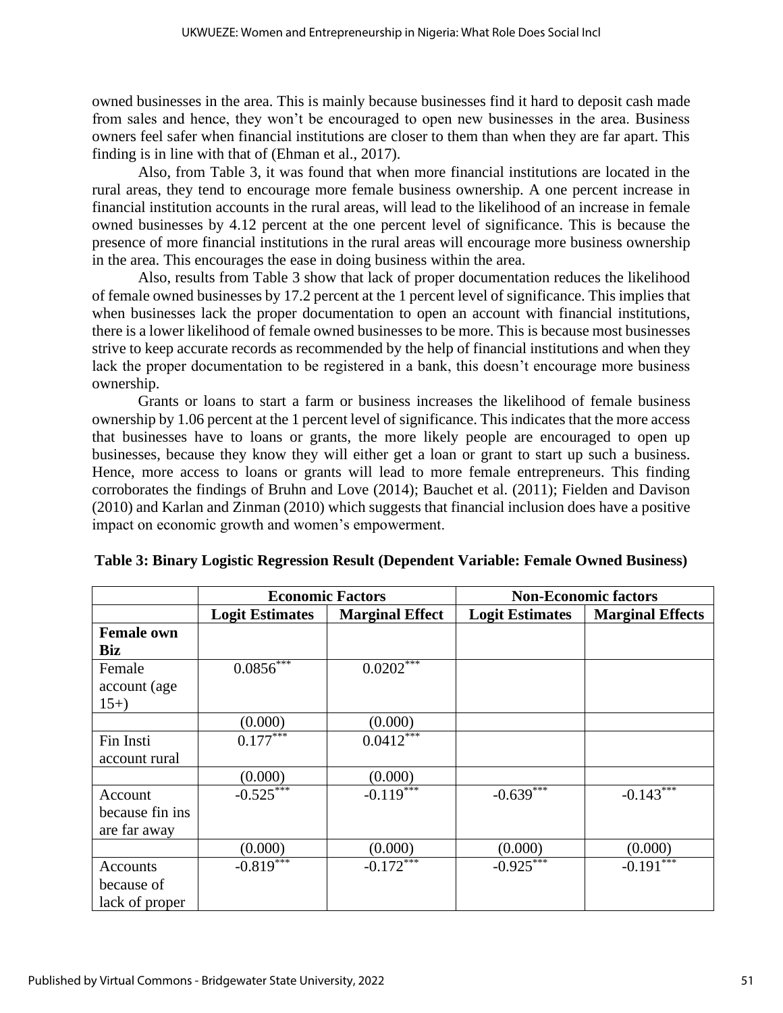owned businesses in the area. This is mainly because businesses find it hard to deposit cash made from sales and hence, they won't be encouraged to open new businesses in the area. Business owners feel safer when financial institutions are closer to them than when they are far apart. This finding is in line with that of (Ehman et al., 2017).

Also, from Table 3, it was found that when more financial institutions are located in the rural areas, they tend to encourage more female business ownership. A one percent increase in financial institution accounts in the rural areas, will lead to the likelihood of an increase in female owned businesses by 4.12 percent at the one percent level of significance. This is because the presence of more financial institutions in the rural areas will encourage more business ownership in the area. This encourages the ease in doing business within the area.

Also, results from Table 3 show that lack of proper documentation reduces the likelihood of female owned businesses by 17.2 percent at the 1 percent level of significance. This implies that when businesses lack the proper documentation to open an account with financial institutions, there is a lower likelihood of female owned businesses to be more. This is because most businesses strive to keep accurate records as recommended by the help of financial institutions and when they lack the proper documentation to be registered in a bank, this doesn't encourage more business ownership.

Grants or loans to start a farm or business increases the likelihood of female business ownership by 1.06 percent at the 1 percent level of significance. This indicates that the more access that businesses have to loans or grants, the more likely people are encouraged to open up businesses, because they know they will either get a loan or grant to start up such a business. Hence, more access to loans or grants will lead to more female entrepreneurs. This finding corroborates the findings of Bruhn and Love (2014); Bauchet et al. (2011); Fielden and Davison (2010) and Karlan and Zinman (2010) which suggests that financial inclusion does have a positive impact on economic growth and women's empowerment.

|                   |                        | <b>Economic Factors</b>   | <b>Non-Economic factors</b> |                         |  |
|-------------------|------------------------|---------------------------|-----------------------------|-------------------------|--|
|                   | <b>Logit Estimates</b> | <b>Marginal Effect</b>    | <b>Logit Estimates</b>      | <b>Marginal Effects</b> |  |
| <b>Female own</b> |                        |                           |                             |                         |  |
| <b>Biz</b>        |                        |                           |                             |                         |  |
| Female            | $0.0856$ ***           | $0.0202$ <sup>***</sup>   |                             |                         |  |
| account (age      |                        |                           |                             |                         |  |
| $15+$             |                        |                           |                             |                         |  |
|                   | (0.000)                | (0.000)                   |                             |                         |  |
| Fin Insti         | $0.177***$             | $0.04\overline{12^{***}}$ |                             |                         |  |
| account rural     |                        |                           |                             |                         |  |
|                   | (0.000)                | (0.000)                   |                             |                         |  |
| Account           | $-0.525***$            | $-0.119$ ***              | $-0.639$ ***                | $-0.143***$             |  |
| because fin ins   |                        |                           |                             |                         |  |
| are far away      |                        |                           |                             |                         |  |
|                   | (0.000)                | (0.000)                   | (0.000)                     | (0.000)                 |  |
| Accounts          | $-0.819***$            | $-0.172***$               | $-0.925***$                 | $-0.191$ <sup>***</sup> |  |
| because of        |                        |                           |                             |                         |  |
| lack of proper    |                        |                           |                             |                         |  |

| Table 3: Binary Logistic Regression Result (Dependent Variable: Female Owned Business) |  |  |  |  |
|----------------------------------------------------------------------------------------|--|--|--|--|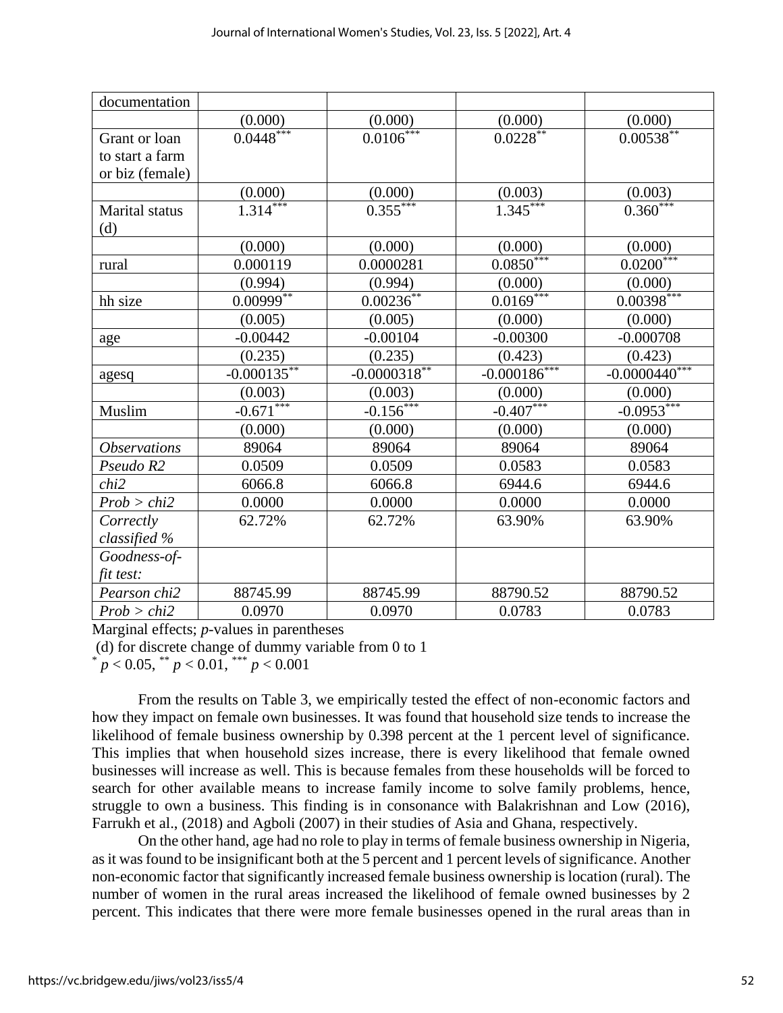| documentation       |                |                |                          |                               |
|---------------------|----------------|----------------|--------------------------|-------------------------------|
|                     | (0.000)        | (0.000)        | (0.000)                  | (0.000)                       |
| Grant or loan       | $0.0448***$    | $0.0106***$    | $0.0228***$              | $0.00538***$                  |
| to start a farm     |                |                |                          |                               |
| or biz (female)     |                |                |                          |                               |
|                     | (0.000)        | (0.000)        | (0.003)                  | $\frac{(0.003)}{0.360^{***}}$ |
| Marital status      | $1.314***$     | $0.355***$     | $\overline{1.345}^{***}$ |                               |
| (d)                 |                |                |                          |                               |
|                     | (0.000)        | (0.000)        | (0.000)                  | (0.000)                       |
| rural               | 0.000119       | 0.0000281      | $0.0850***$              | $0.0200***$                   |
|                     | (0.994)        | (0.994)        | (0.000)                  | (0.000)                       |
| hh size             | $0.00999**$    | $0.00236***$   | $0.0169***$              | $0.00398***$                  |
|                     | (0.005)        | (0.005)        | (0.000)                  | (0.000)                       |
| age                 | $-0.00442$     | $-0.00104$     | $-0.00300$               | $-0.000708$                   |
|                     | (0.235)        | (0.235)        | (0.423)                  | (0.423)                       |
| agesq               | $-0.000135***$ | $-0.0000318**$ | $-0.000186***$           | $-0.0000440***$               |
|                     | (0.003)        | (0.003)        | (0.000)                  | (0.000)                       |
| Muslim              | $-0.671***$    | $-0.156***$    | $-0.407***$              | $-0.0953***$                  |
|                     | (0.000)        | (0.000)        | (0.000)                  | (0.000)                       |
| <b>Observations</b> | 89064          | 89064          | 89064                    | 89064                         |
| Pseudo R2           | 0.0509         | 0.0509         | 0.0583                   | 0.0583                        |
| chi2                | 6066.8         | 6066.8         | 6944.6                   | 6944.6                        |
| Prob > chi2         | 0.0000         | 0.0000         | 0.0000                   | 0.0000                        |
| Correctly           | 62.72%         | 62.72%         | 63.90%                   | 63.90%                        |
| classified %        |                |                |                          |                               |
| Goodness-of-        |                |                |                          |                               |
| fit test:           |                |                |                          |                               |
| Pearson chi2        | 88745.99       | 88745.99       | 88790.52                 | 88790.52                      |
| Prob > chi2         | 0.0970         | 0.0970         | 0.0783                   | 0.0783                        |

Marginal effects; *p*-values in parentheses

(d) for discrete change of dummy variable from 0 to 1

 $p < 0.05$ ,  $\binom{**}{p} < 0.01$ ,  $\binom{***}{p} < 0.001$ 

From the results on Table 3, we empirically tested the effect of non-economic factors and how they impact on female own businesses. It was found that household size tends to increase the likelihood of female business ownership by 0.398 percent at the 1 percent level of significance. This implies that when household sizes increase, there is every likelihood that female owned businesses will increase as well. This is because females from these households will be forced to search for other available means to increase family income to solve family problems, hence, struggle to own a business. This finding is in consonance with Balakrishnan and Low (2016), Farrukh et al., (2018) and Agboli (2007) in their studies of Asia and Ghana, respectively.

On the other hand, age had no role to play in terms of female business ownership in Nigeria, as it was found to be insignificant both at the 5 percent and 1 percent levels of significance. Another non-economic factor that significantly increased female business ownership is location (rural). The number of women in the rural areas increased the likelihood of female owned businesses by 2 percent. This indicates that there were more female businesses opened in the rural areas than in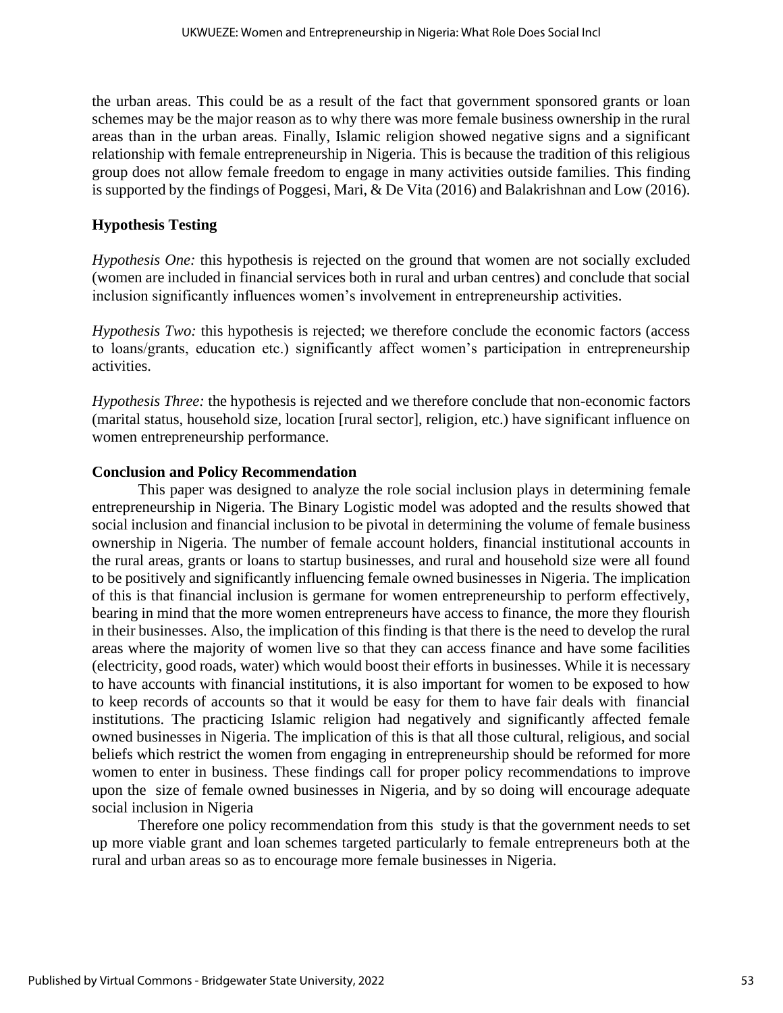the urban areas. This could be as a result of the fact that government sponsored grants or loan schemes may be the major reason as to why there was more female business ownership in the rural areas than in the urban areas. Finally, Islamic religion showed negative signs and a significant relationship with female entrepreneurship in Nigeria. This is because the tradition of this religious group does not allow female freedom to engage in many activities outside families. This finding is supported by the findings of Poggesi, Mari, & De Vita (2016) and Balakrishnan and Low (2016).

## **Hypothesis Testing**

*Hypothesis One:* this hypothesis is rejected on the ground that women are not socially excluded (women are included in financial services both in rural and urban centres) and conclude that social inclusion significantly influences women's involvement in entrepreneurship activities.

*Hypothesis Two:* this hypothesis is rejected; we therefore conclude the economic factors (access to loans/grants, education etc.) significantly affect women's participation in entrepreneurship activities.

*Hypothesis Three:* the hypothesis is rejected and we therefore conclude that non-economic factors (marital status, household size, location [rural sector], religion, etc.) have significant influence on women entrepreneurship performance.

### **Conclusion and Policy Recommendation**

This paper was designed to analyze the role social inclusion plays in determining female entrepreneurship in Nigeria. The Binary Logistic model was adopted and the results showed that social inclusion and financial inclusion to be pivotal in determining the volume of female business ownership in Nigeria. The number of female account holders, financial institutional accounts in the rural areas, grants or loans to startup businesses, and rural and household size were all found to be positively and significantly influencing female owned businesses in Nigeria. The implication of this is that financial inclusion is germane for women entrepreneurship to perform effectively, bearing in mind that the more women entrepreneurs have access to finance, the more they flourish in their businesses. Also, the implication of this finding is that there is the need to develop the rural areas where the majority of women live so that they can access finance and have some facilities (electricity, good roads, water) which would boost their efforts in businesses. While it is necessary to have accounts with financial institutions, it is also important for women to be exposed to how to keep records of accounts so that it would be easy for them to have fair deals with financial institutions. The practicing Islamic religion had negatively and significantly affected female owned businesses in Nigeria. The implication of this is that all those cultural, religious, and social beliefs which restrict the women from engaging in entrepreneurship should be reformed for more women to enter in business. These findings call for proper policy recommendations to improve upon the size of female owned businesses in Nigeria, and by so doing will encourage adequate social inclusion in Nigeria

Therefore one policy recommendation from this study is that the government needs to set up more viable grant and loan schemes targeted particularly to female entrepreneurs both at the rural and urban areas so as to encourage more female businesses in Nigeria.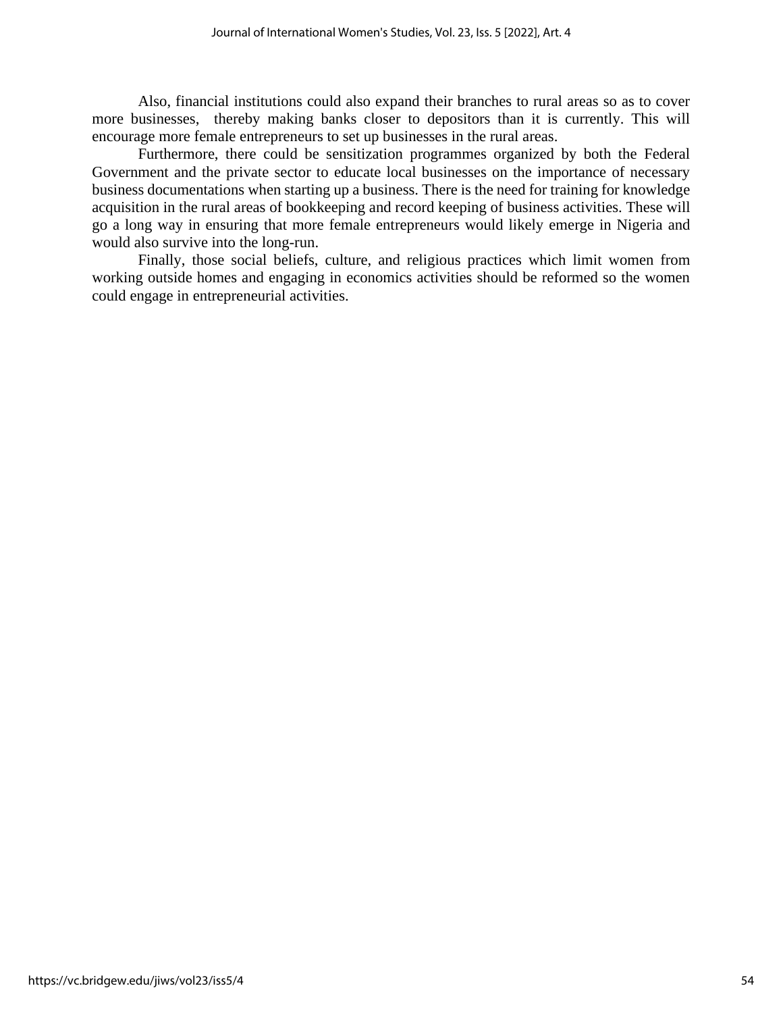Also, financial institutions could also expand their branches to rural areas so as to cover more businesses, thereby making banks closer to depositors than it is currently. This will encourage more female entrepreneurs to set up businesses in the rural areas.

Furthermore, there could be sensitization programmes organized by both the Federal Government and the private sector to educate local businesses on the importance of necessary business documentations when starting up a business. There is the need for training for knowledge acquisition in the rural areas of bookkeeping and record keeping of business activities. These will go a long way in ensuring that more female entrepreneurs would likely emerge in Nigeria and would also survive into the long-run.

Finally, those social beliefs, culture, and religious practices which limit women from working outside homes and engaging in economics activities should be reformed so the women could engage in entrepreneurial activities.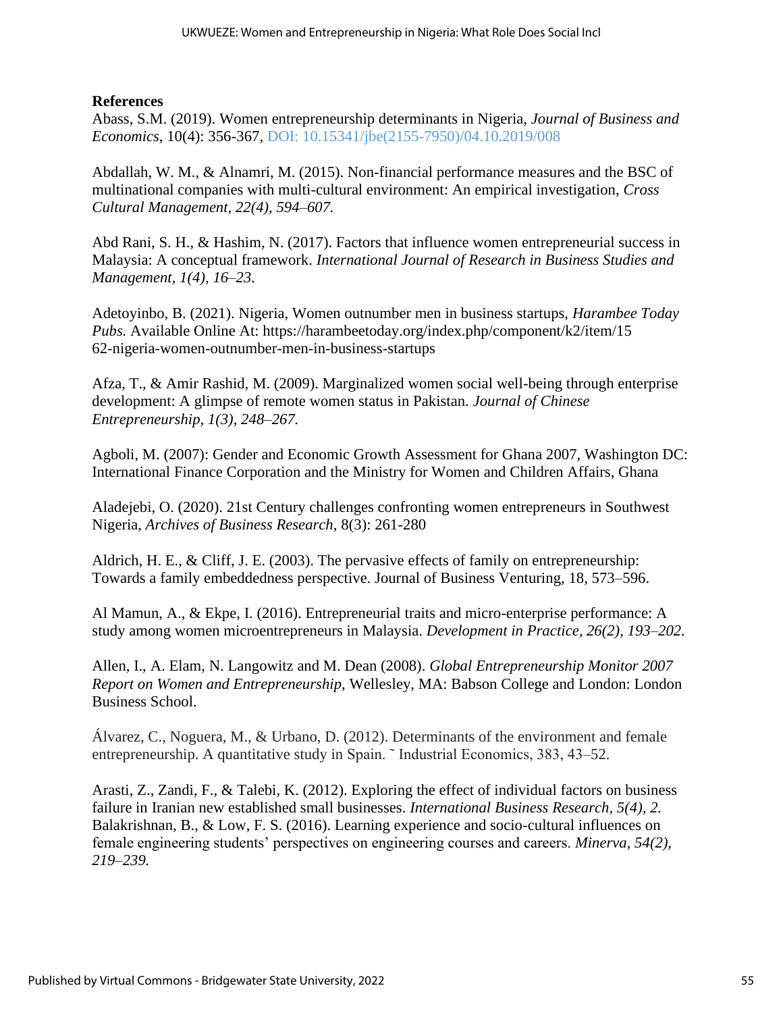#### **References**

Abass, S.M. (2019). Women entrepreneurship determinants in Nigeria, *Journal of Business and Economics*, 10(4): 356-367, DOI: 10.15341/jbe(2155-7950)/04.10.2019/008

Abdallah, W. M., & Alnamri, M. (2015). Non-financial performance measures and the BSC of multinational companies with multi-cultural environment: An empirical investigation, *Cross Cultural Management, 22(4), 594–607.*

Abd Rani, S. H., & Hashim, N. (2017). Factors that influence women entrepreneurial success in Malaysia: A conceptual framework. *International Journal of Research in Business Studies and Management, 1(4), 16–23.*

Adetoyinbo, B. (2021). Nigeria, Women outnumber men in business startups, *Harambee Today Pubs.* Available Online At: https://harambeetoday.org/index.php/component/k2/item/15 62-nigeria-women-outnumber-men-in-business-startups

Afza, T., & Amir Rashid, M. (2009). Marginalized women social well-being through enterprise development: A glimpse of remote women status in Pakistan. *Journal of Chinese Entrepreneurship, 1(3), 248–267.*

Agboli, M. (2007): Gender and Economic Growth Assessment for Ghana 2007, Washington DC: International Finance Corporation and the Ministry for Women and Children Affairs, Ghana

Aladejebi, O. (2020). 21st Century challenges confronting women entrepreneurs in Southwest Nigeria, *Archives of Business Research*, 8(3): 261-280

Aldrich, H. E., & Cliff, J. E. (2003). The pervasive effects of family on entrepreneurship: Towards a family embeddedness perspective. Journal of Business Venturing, 18, 573–596.

Al Mamun, A., & Ekpe, I. (2016). Entrepreneurial traits and micro-enterprise performance: A study among women microentrepreneurs in Malaysia. *Development in Practice, 26(2), 193–202.*

Allen, I., A. Elam, N. Langowitz and M. Dean (2008). *Global Entrepreneurship Monitor 2007 Report on Women and Entrepreneurship*, Wellesley, MA: Babson College and London: London Business School.

Álvarez, C., Noguera, M., & Urbano, D. (2012). Determinants of the environment and female entrepreneurship. A quantitative study in Spain. ˜ Industrial Economics, 383, 43–52.

Arasti, Z., Zandi, F., & Talebi, K. (2012). Exploring the effect of individual factors on business failure in Iranian new established small businesses. *International Business Research, 5(4), 2.* Balakrishnan, B., & Low, F. S. (2016). Learning experience and socio-cultural influences on female engineering students' perspectives on engineering courses and careers. *Minerva, 54(2), 219–239.*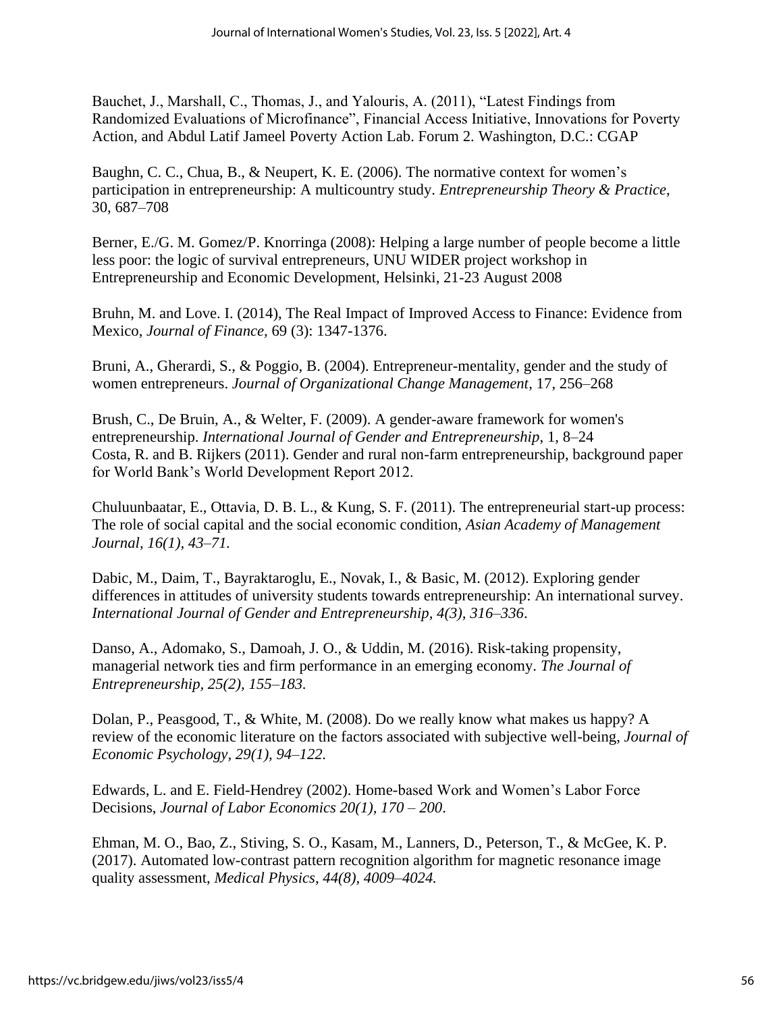Bauchet, J., Marshall, C., Thomas, J., and Yalouris, A. (2011), "Latest Findings from Randomized Evaluations of Microfinance", Financial Access Initiative, Innovations for Poverty Action, and Abdul Latif Jameel Poverty Action Lab. Forum 2. Washington, D.C.: CGAP

Baughn, C. C., Chua, B., & Neupert, K. E. (2006). The normative context for women's participation in entrepreneurship: A multicountry study. *Entrepreneurship Theory & Practice*, 30, 687–708

Berner, E./G. M. Gomez/P. Knorringa (2008): Helping a large number of people become a little less poor: the logic of survival entrepreneurs, UNU WIDER project workshop in Entrepreneurship and Economic Development, Helsinki, 21-23 August 2008

Bruhn, M. and Love. I. (2014), The Real Impact of Improved Access to Finance: Evidence from Mexico, *Journal of Finance,* 69 (3): 1347-1376.

Bruni, A., Gherardi, S., & Poggio, B. (2004). Entrepreneur-mentality, gender and the study of women entrepreneurs. *Journal of Organizational Change Management*, 17, 256–268

Brush, C., De Bruin, A., & Welter, F. (2009). A gender-aware framework for women's entrepreneurship. *International Journal of Gender and Entrepreneurship*, 1, 8–24 Costa, R. and B. Rijkers (2011). Gender and rural non-farm entrepreneurship, background paper for World Bank's World Development Report 2012.

Chuluunbaatar, E., Ottavia, D. B. L., & Kung, S. F. (2011). The entrepreneurial start-up process: The role of social capital and the social economic condition, *Asian Academy of Management Journal, 16(1), 43–71.*

Dabic, M., Daim, T., Bayraktaroglu, E., Novak, I., & Basic, M. (2012). Exploring gender differences in attitudes of university students towards entrepreneurship: An international survey. *International Journal of Gender and Entrepreneurship, 4(3), 316–336*.

Danso, A., Adomako, S., Damoah, J. O., & Uddin, M. (2016). Risk-taking propensity, managerial network ties and firm performance in an emerging economy. *The Journal of Entrepreneurship, 25(2), 155–183.*

Dolan, P., Peasgood, T., & White, M. (2008). Do we really know what makes us happy? A review of the economic literature on the factors associated with subjective well-being, *Journal of Economic Psychology, 29(1), 94–122.*

Edwards, L. and E. Field-Hendrey (2002). Home-based Work and Women's Labor Force Decisions, *Journal of Labor Economics 20(1), 170 – 200*.

Ehman, M. O., Bao, Z., Stiving, S. O., Kasam, M., Lanners, D., Peterson, T., & McGee, K. P. (2017). Automated low-contrast pattern recognition algorithm for magnetic resonance image quality assessment, *Medical Physics, 44(8), 4009–4024.*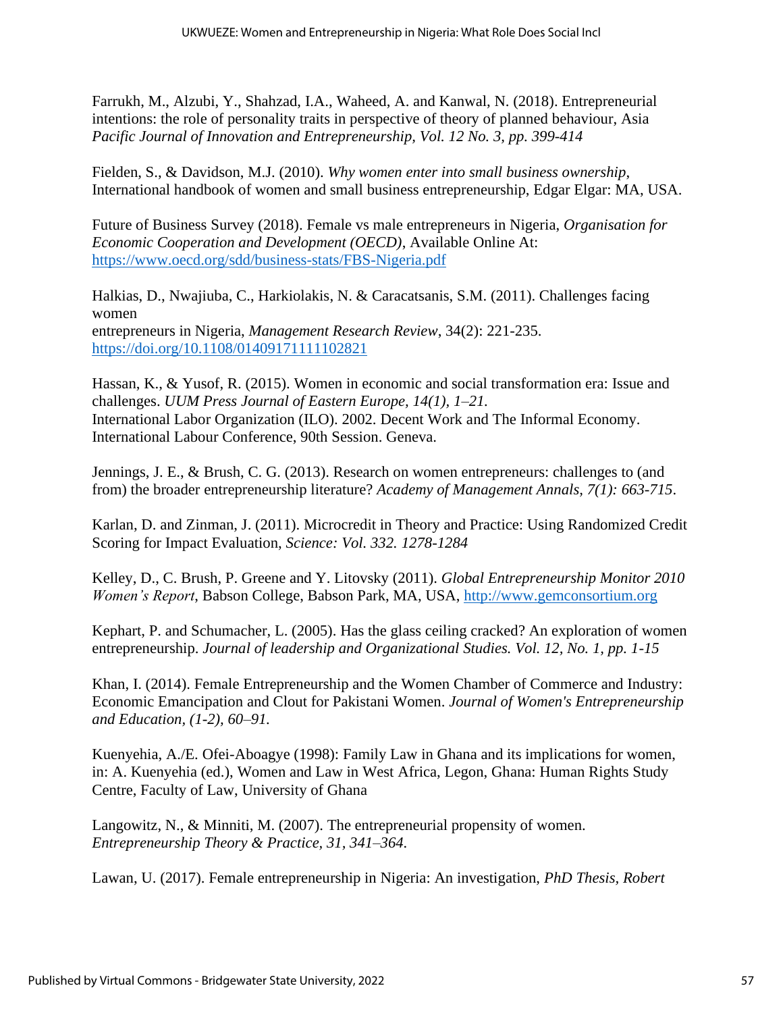Farrukh, M., Alzubi, Y., Shahzad, I.A., Waheed, A. and Kanwal, N. (2018). Entrepreneurial intentions: the role of personality traits in perspective of theory of planned behaviour, Asia *Pacific Journal of Innovation and Entrepreneurship, Vol. 12 No. 3, pp. 399-414*

Fielden, S., & Davidson, M.J. (2010). *Why women enter into small business ownership*, International handbook of women and small business entrepreneurship, Edgar Elgar: MA, USA.

Future of Business Survey (2018). Female vs male entrepreneurs in Nigeria, *Organisation for Economic Cooperation and Development (OECD)*, Available Online At: <https://www.oecd.org/sdd/business-stats/FBS-Nigeria.pdf>

Halkias, D., Nwajiuba, C., Harkiolakis, N. & Caracatsanis, S.M. (2011). Challenges facing women entrepreneurs in Nigeria, *Management Research Review*, 34(2): 221-235. <https://doi.org/10.1108/01409171111102821>

Hassan, K., & Yusof, R. (2015). Women in economic and social transformation era: Issue and challenges. *UUM Press Journal of Eastern Europe, 14(1), 1–21.* International Labor Organization (ILO). 2002. Decent Work and The Informal Economy. International Labour Conference, 90th Session. Geneva.

Jennings, J. E., & Brush, C. G. (2013). Research on women entrepreneurs: challenges to (and from) the broader entrepreneurship literature? *Academy of Management Annals, 7(1): 663-715*.

Karlan, D. and Zinman, J. (2011). Microcredit in Theory and Practice: Using Randomized Credit Scoring for Impact Evaluation, *Science: Vol. 332. 1278-1284*

Kelley, D., C. Brush, P. Greene and Y. Litovsky (2011). *Global Entrepreneurship Monitor 2010 Women's Report*, Babson College, Babson Park, MA, USA, [http://www.gemconsortium.org](http://www.gemconsortium.org/)

Kephart, P. and Schumacher, L. (2005). Has the glass ceiling cracked? An exploration of women entrepreneurship. *Journal of leadership and Organizational Studies. Vol. 12, No. 1, pp. 1-15*

Khan, I. (2014). Female Entrepreneurship and the Women Chamber of Commerce and Industry: Economic Emancipation and Clout for Pakistani Women. *Journal of Women's Entrepreneurship and Education, (1-2), 60–91.*

Kuenyehia, A./E. Ofei-Aboagye (1998): Family Law in Ghana and its implications for women, in: A. Kuenyehia (ed.), Women and Law in West Africa, Legon, Ghana: Human Rights Study Centre, Faculty of Law, University of Ghana

Langowitz, N., & Minniti, M. (2007). The entrepreneurial propensity of women. *Entrepreneurship Theory & Practice, 31, 341–364.*

Lawan, U. (2017). Female entrepreneurship in Nigeria: An investigation, *PhD Thesis, Robert*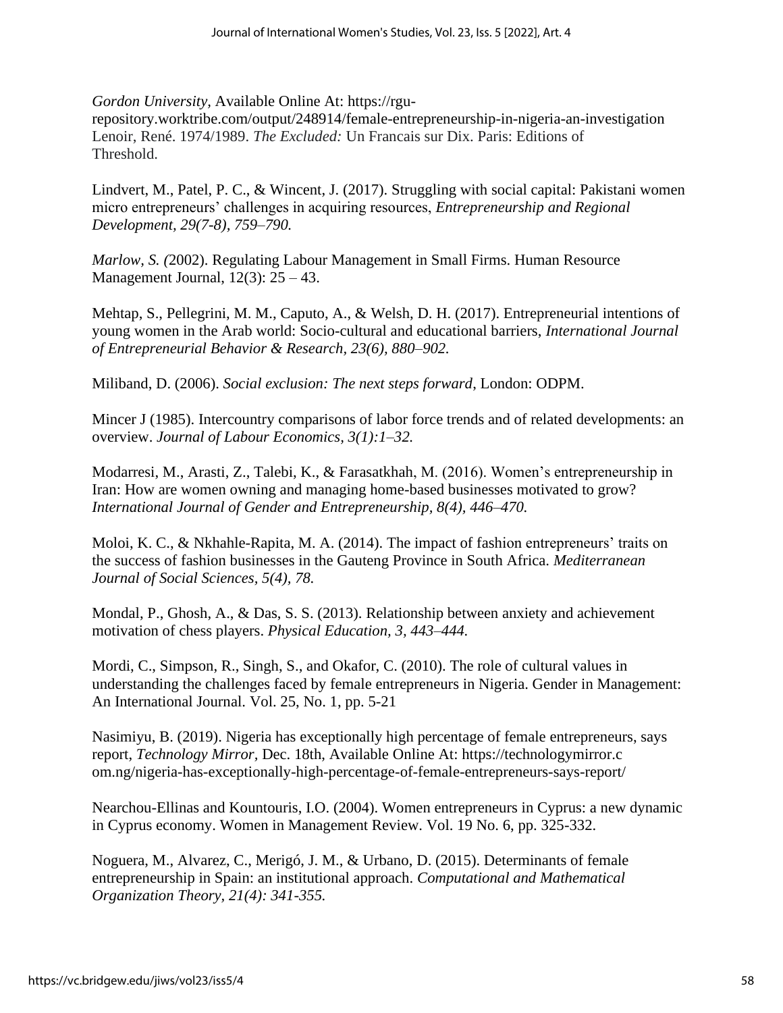*Gordon University,* Available Online At: https://rgu-

repository.worktribe.com/output/248914/female-entrepreneurship-in-nigeria-an-investigation Lenoir, René. 1974/1989. *The Excluded:* Un Francais sur Dix. Paris: Editions of Threshold.

Lindvert, M., Patel, P. C., & Wincent, J. (2017). Struggling with social capital: Pakistani women micro entrepreneurs' challenges in acquiring resources, *Entrepreneurship and Regional Development, 29(7-8), 759–790.*

*Marlow, S. (*2002). Regulating Labour Management in Small Firms. Human Resource Management Journal,  $12(3)$ :  $25 - 43$ .

Mehtap, S., Pellegrini, M. M., Caputo, A., & Welsh, D. H. (2017). Entrepreneurial intentions of young women in the Arab world: Socio-cultural and educational barriers, *International Journal of Entrepreneurial Behavior & Research, 23(6), 880–902.*

Miliband, D. (2006). *Social exclusion: The next steps forward*, London: ODPM.

Mincer J (1985). Intercountry comparisons of labor force trends and of related developments: an overview. *Journal of Labour Economics, 3(1):1–32.*

Modarresi, M., Arasti, Z., Talebi, K., & Farasatkhah, M. (2016). Women's entrepreneurship in Iran: How are women owning and managing home-based businesses motivated to grow? *International Journal of Gender and Entrepreneurship, 8(4), 446–470.*

Moloi, K. C., & Nkhahle-Rapita, M. A. (2014). The impact of fashion entrepreneurs' traits on the success of fashion businesses in the Gauteng Province in South Africa. *Mediterranean Journal of Social Sciences, 5(4), 78.*

Mondal, P., Ghosh, A., & Das, S. S. (2013). Relationship between anxiety and achievement motivation of chess players. *Physical Education, 3, 443–444.*

Mordi, C., Simpson, R., Singh, S., and Okafor, C. (2010). The role of cultural values in understanding the challenges faced by female entrepreneurs in Nigeria. Gender in Management: An International Journal. Vol. 25, No. 1, pp. 5-21

Nasimiyu, B. (2019). Nigeria has exceptionally high percentage of female entrepreneurs, says report, *Technology Mirror,* Dec. 18th, Available Online At: https://technologymirror.c om.ng/nigeria-has-exceptionally-high-percentage-of-female-entrepreneurs-says-report/

Nearchou-Ellinas and Kountouris, I.O. (2004). Women entrepreneurs in Cyprus: a new dynamic in Cyprus economy. Women in Management Review. Vol. 19 No. 6, pp. 325-332.

Noguera, M., Alvarez, C., Merigó, J. M., & Urbano, D. (2015). Determinants of female entrepreneurship in Spain: an institutional approach. *Computational and Mathematical Organization Theory, 21(4): 341-355.*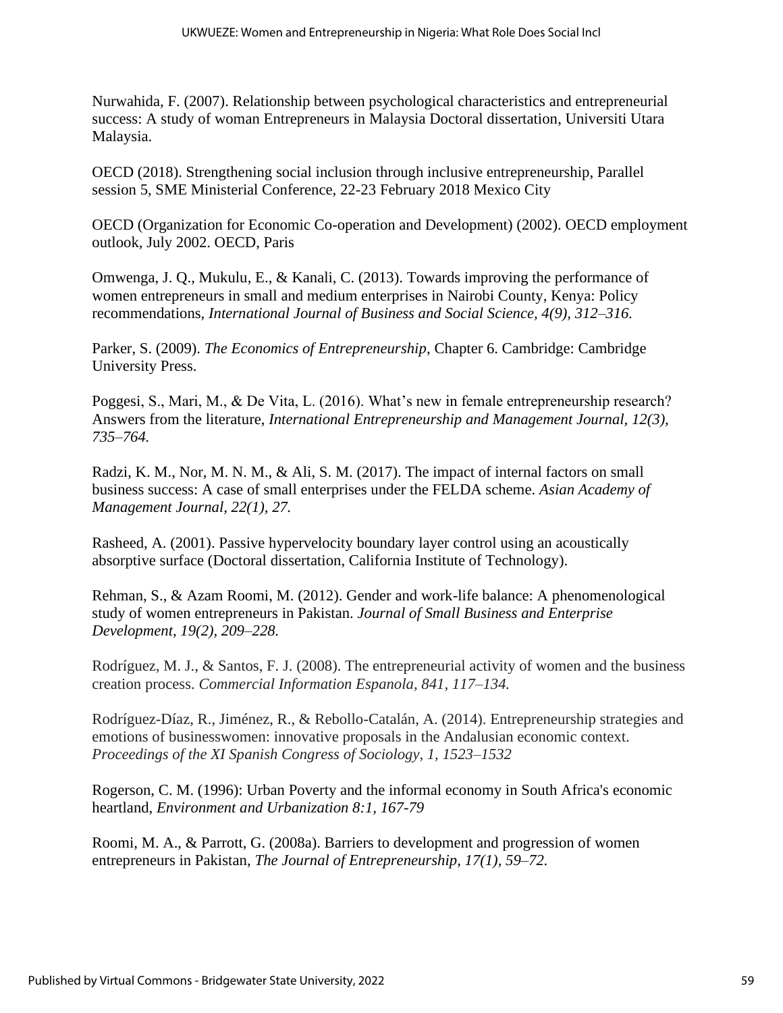Nurwahida, F. (2007). Relationship between psychological characteristics and entrepreneurial success: A study of woman Entrepreneurs in Malaysia Doctoral dissertation, Universiti Utara Malaysia.

OECD (2018). Strengthening social inclusion through inclusive entrepreneurship, Parallel session 5, SME Ministerial Conference, 22-23 February 2018 Mexico City

OECD (Organization for Economic Co-operation and Development) (2002). OECD employment outlook, July 2002. OECD, Paris

Omwenga, J. Q., Mukulu, E., & Kanali, C. (2013). Towards improving the performance of women entrepreneurs in small and medium enterprises in Nairobi County, Kenya: Policy recommendations, *International Journal of Business and Social Science, 4(9), 312–316.*

Parker, S. (2009). *The Economics of Entrepreneurship*, Chapter 6. Cambridge: Cambridge University Press.

Poggesi, S., Mari, M., & De Vita, L. (2016). What's new in female entrepreneurship research? Answers from the literature, *International Entrepreneurship and Management Journal, 12(3), 735–764.*

Radzi, K. M., Nor, M. N. M., & Ali, S. M. (2017). The impact of internal factors on small business success: A case of small enterprises under the FELDA scheme. *Asian Academy of Management Journal, 22(1), 27.*

Rasheed, A. (2001). Passive hypervelocity boundary layer control using an acoustically absorptive surface (Doctoral dissertation, California Institute of Technology).

Rehman, S., & Azam Roomi, M. (2012). Gender and work-life balance: A phenomenological study of women entrepreneurs in Pakistan. *Journal of Small Business and Enterprise Development, 19(2), 209–228.*

Rodríguez, M. J., & Santos, F. J. (2008). The entrepreneurial activity of women and the business creation process. *Commercial Information Espanola, 841, 117–134.*

Rodríguez-Díaz, R., Jiménez, R., & Rebollo-Catalán, A. (2014). Entrepreneurship strategies and emotions of businesswomen: innovative proposals in the Andalusian economic context. *Proceedings of the XI Spanish Congress of Sociology, 1, 1523–1532*

Rogerson, C. M. (1996): Urban Poverty and the informal economy in South Africa's economic heartland, *Environment and Urbanization 8:1, 167-79*

Roomi, M. A., & Parrott, G. (2008a). Barriers to development and progression of women entrepreneurs in Pakistan, *The Journal of Entrepreneurship, 17(1), 59–72.*